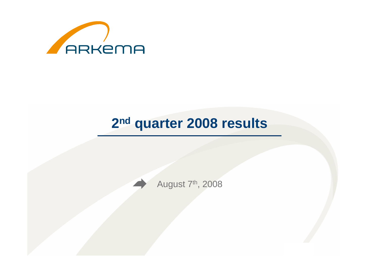

# **2nd quarter 2008 results**

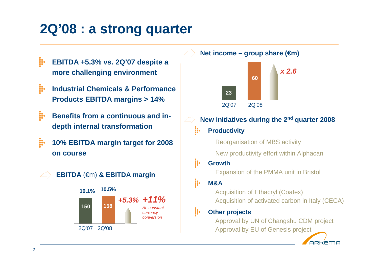# **2Q'08 : a strong quarter**

- ij. **EBITDA +5.3% vs. 2Q'07 despite a more challenging environment**
- ii. **Industrial Chemicals & Performance Products EBITDA margins > 14%**
- **ii Benefits from a continuous and indepth internal transformation**
- ij. **10% EBITDA margin target for 2008 on course**





**Net income – group share (€m)**



- **New initiatives during the 2nd quarter 2008**æ. **Productivity** 
	- Reorganisation of MBS activity
	- New productivity effort within Alphacan
- ģ. **Growth**

Expansion of the PMMA unit in Bristol

ij. **M&A**

> Acquisition of Ethacryl (Coatex)Acquisition of activated carbon in Italy (CECA)

#### ij. **Other projects**

 Approval by UN of Changshu CDM projectApproval by EU of Genesis project

**ARKEMA**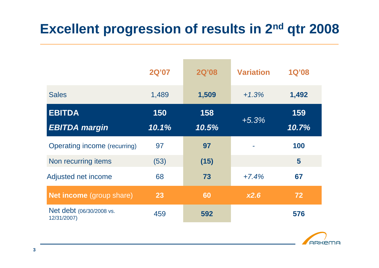## **Excellent progression of results in 2nd qtr 2008**

|                                         | <b>2Q'07</b> | <b>2Q'08</b> | <b>Variation</b> | <b>1Q'08</b> |
|-----------------------------------------|--------------|--------------|------------------|--------------|
| <b>Sales</b>                            | 1,489        | 1,509        | $+1.3%$          | 1,492        |
| <b>EBITDA</b><br><b>EBITDA</b> margin   | 150<br>10.1% | 158<br>10.5% | $+5.3%$          | 159<br>10.7% |
| <b>Operating income (recurring)</b>     | 97           | 97           |                  | 100          |
| Non recurring items                     | (53)         | (15)         |                  | 5            |
| Adjusted net income                     | 68           | 73           | $+7.4%$          | 67           |
| <b>Net income</b> (group share)         | 23           | 60           | x2.6             | 72           |
| Net debt (06/30/2008 vs.<br>12/31/2007) | 459          | 592          |                  | 576          |

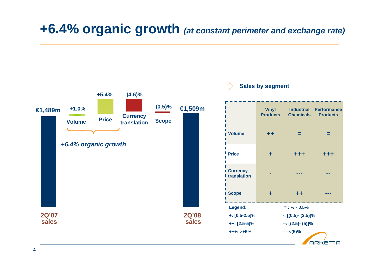## **+6.4% organic growth (at constant perimeter and exchange rate)**

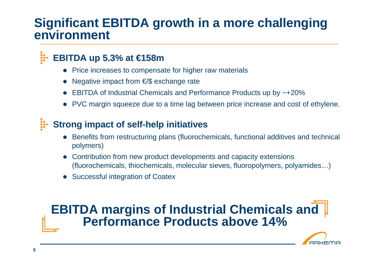## **Significant EBITDA growth in a more challenging environment**

#### ₩. **EBITDA up 5.3% at €158m**

- Price increases to compensate for higher raw materials  $\bullet$
- $\bullet$ Negative impact from €/\$ exchange rate
- $\bullet$ EBITDA of Industrial Chemicals and Performance Products up by ~+20%
- PVC margin squeeze due to a time lag between price increase and cost of ethylene.

#### $\ddot{u}$ **Strong impact of self-help initiatives**

- $\bullet$  Benefits from restructuring plans (fluorochemicals, functional additives and technical polymers)
- $\bullet$  Contribution from new product developments and capacity extensions (fluorochemicals, thiochemicals, molecular sieves, fluoropolymers, polyamides…)
- $\bullet$ Successful integration of Coatex

## **EBITDA margins of Industrial Chemicals and Performance Products above 14%**

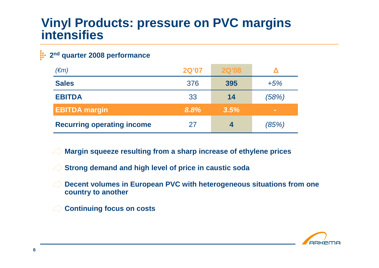## **Vinyl Products: pressure on PVC margins intensifies**

#### **2nd quarter 2008 performance**

| $(\epsilon m)$                    | <b>2Q'07</b> | <b>2Q'08</b> |        |
|-----------------------------------|--------------|--------------|--------|
| <b>Sales</b>                      | 376          | 395          | $+5%$  |
| <b>EBITDA</b>                     | 33           | 14           | (58%)  |
| <b>EBITDA margin</b>              | 8.8%         | 3.5%         | $\sim$ |
| <b>Recurring operating income</b> | 27           | 4            | (85%)  |

**Margin squeeze resulting from a sharp increase of ethylene prices**

**Strong demand and high level of price in caustic soda** 

**Decent volumes in European PVC with heterogeneous situations from one**  $\left\langle \right\rangle$ **country to another**

**Continuing focus on costs** $\left\langle \right\rangle$ 

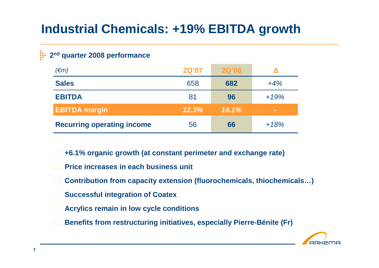## **Industrial Chemicals: +19% EBITDA growth**

### **2nd quarter 2008 performance**

| $(\epsilon m)$                    | <b>2Q'07</b> | <b>2Q'08</b> |        |
|-----------------------------------|--------------|--------------|--------|
| <b>Sales</b>                      | 658          | 682          | $+4%$  |
| <b>EBITDA</b>                     | 81           | 96           | $+19%$ |
| <b>EBITDA margin</b>              | 12.3%        | 14.1%        | $\sim$ |
| <b>Recurring operating income</b> | 56           | 66           | $+18%$ |

**+6.1% organic growth (at constant perimeter and exchange rate)**

- **Price increases in each business unit**
- **Contribution from capacity extension (fluorochemicals, thiochemicals…)** $\left\langle \right\rangle$
- **Successful integration of Coatex**
- **Acrylics remain in low cycle conditions**
- **Benefits from restructuring initiatives, especially Pierre-Bénite (Fr)**

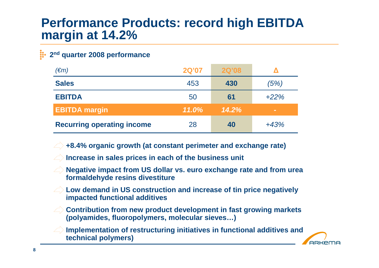## **Performance Products: record high EBITDA margin at 14.2%**

### **2nd quarter 2008 performance**

| $(\epsilon m)$                    | <b>2Q'07</b> | <b>2Q'08</b> |        |
|-----------------------------------|--------------|--------------|--------|
| <b>Sales</b>                      | 453          | 430          | (5%)   |
| <b>EBITDA</b>                     | 50           | 61           | $+22%$ |
| <b>EBITDA margin</b>              | 11.0%        | 14.2%        | $\sim$ |
| <b>Recurring operating income</b> | 28           | 40           | $+43%$ |

**+8.4% organic growth (at constant perimeter and exchange rate)**

- **Increase in sales prices in each of the business unit**
- **Negative impact from US dollar vs. euro exchange rate and from urea formaldehyde resins divestiture**
- **Low demand in US construction and increase of tin price negatively impacted functional additives**
- **Contribution from new product development in fast growing markets (polyamides, fluoropolymers, molecular sieves…)**
- **Implementation of restructuring initiatives in functional additives and technical polymers)**

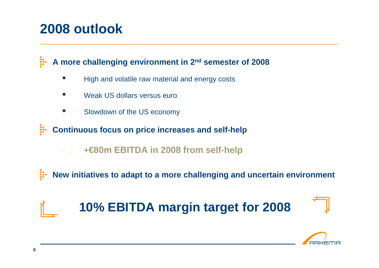# **2008 outlook**

**ij. A more challenging environment in 2nd semester of 2008**

- •High and volatile raw material and energy costs
- •Weak US dollars versus euro
- •Slowdown of the US economy

**ii Continuous focus on price increases and self-help**

**+€80m EBITDA in 2008 from self-help**

ij. **New initiatives to adapt to a more challenging and uncertain environment**

# **10% EBITDA margin target for 2008**